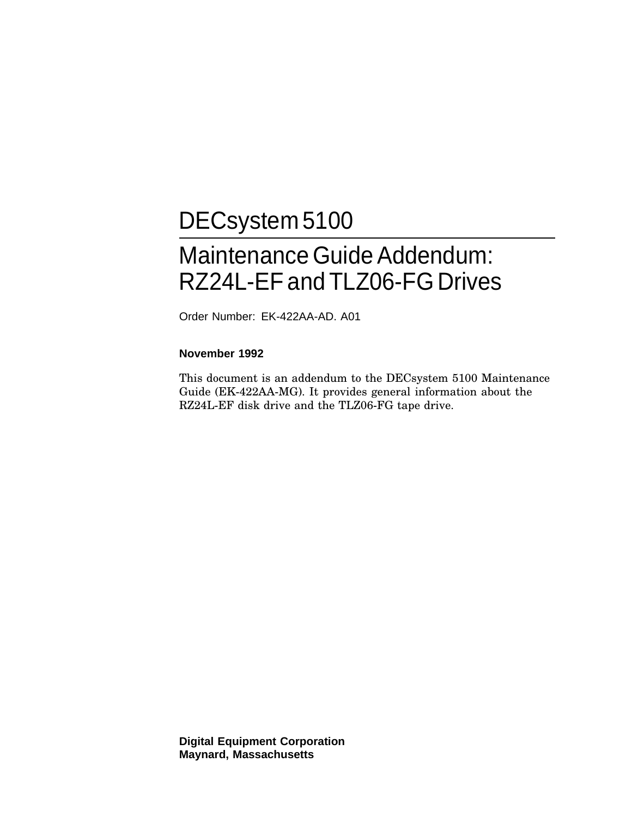## DECsystem 5100

## Maintenance Guide Addendum: RZ24L-EF and TLZ06-FG Drives

Order Number: EK-422AA-AD. A01

#### **November 1992**

This document is an addendum to the DECsystem 5100 Maintenance Guide (EK-422AA-MG). It provides general information about the RZ24L-EF disk drive and the TLZ06-FG tape drive.

**Digital Equipment Corporation Maynard, Massachusetts**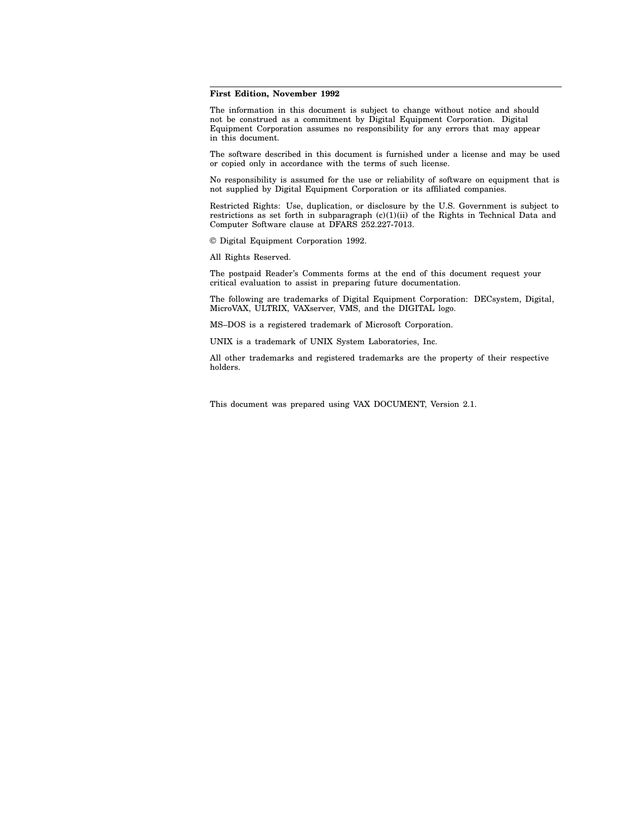#### **First Edition, November 1992**

The information in this document is subject to change without notice and should not be construed as a commitment by Digital Equipment Corporation. Digital Equipment Corporation assumes no responsibility for any errors that may appear in this document.

The software described in this document is furnished under a license and may be used or copied only in accordance with the terms of such license.

No responsibility is assumed for the use or reliability of software on equipment that is not supplied by Digital Equipment Corporation or its affiliated companies.

Restricted Rights: Use, duplication, or disclosure by the U.S. Government is subject to restrictions as set forth in subparagraph (c)(1)(ii) of the Rights in Technical Data and Computer Software clause at DFARS 252.227-7013.

© Digital Equipment Corporation 1992.

All Rights Reserved.

The postpaid Reader's Comments forms at the end of this document request your critical evaluation to assist in preparing future documentation.

The following are trademarks of Digital Equipment Corporation: DECsystem, Digital, MicroVAX, ULTRIX, VAXserver, VMS, and the DIGITAL logo.

MS–DOS is a registered trademark of Microsoft Corporation.

UNIX is a trademark of UNIX System Laboratories, Inc.

All other trademarks and registered trademarks are the property of their respective holders.

This document was prepared using VAX DOCUMENT, Version 2.1.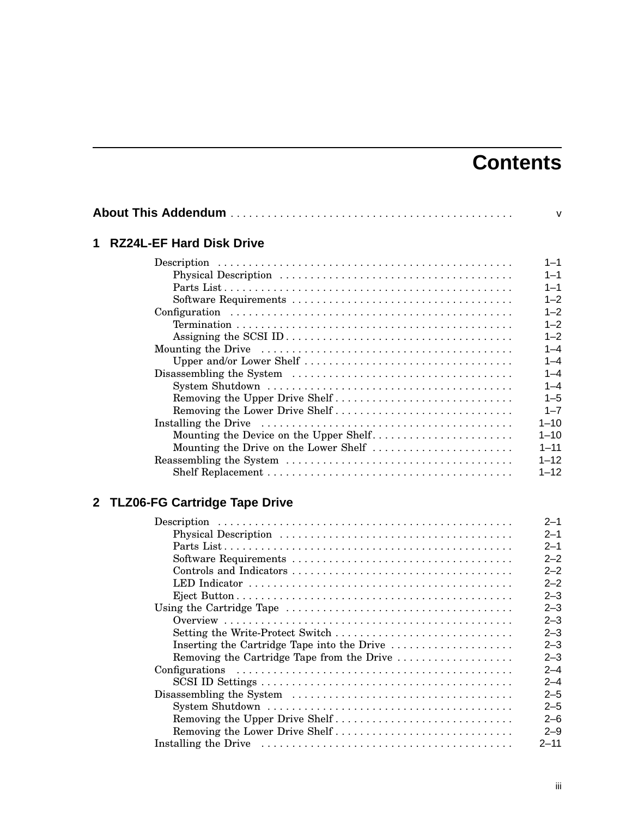## **Contents**

| 1 | <b>RZ24L-EF Hard Disk Drive</b>        |          |  |
|---|----------------------------------------|----------|--|
|   |                                        | $1 - 1$  |  |
|   |                                        | $1 - 1$  |  |
|   |                                        | $1 - 1$  |  |
|   |                                        | $1 - 2$  |  |
|   |                                        | $1 - 2$  |  |
|   |                                        | $1 - 2$  |  |
|   |                                        | $1 - 2$  |  |
|   |                                        | $1 - 4$  |  |
|   |                                        | $1 - 4$  |  |
|   |                                        | $1 - 4$  |  |
|   |                                        | $1 - 4$  |  |
|   | Removing the Upper Drive Shelf         | $1 - 5$  |  |
|   |                                        | $1 - 7$  |  |
|   |                                        | $1 - 10$ |  |
|   | Mounting the Device on the Upper Shelf | $1 - 10$ |  |
|   | Mounting the Drive on the Lower Shelf  | $1 - 11$ |  |
|   |                                        | $1 - 12$ |  |
|   |                                        | $1 - 12$ |  |
|   |                                        |          |  |

## **2 TLZ06-FG Cartridge Tape Drive**

|                                             | $2 - 1$  |
|---------------------------------------------|----------|
|                                             | $2 - 1$  |
|                                             | $2 - 1$  |
|                                             | $2 - 2$  |
|                                             | $2 - 2$  |
|                                             | $2 - 2$  |
|                                             | $2 - 3$  |
|                                             | $2 - 3$  |
|                                             | $2 - 3$  |
| Setting the Write-Protect Switch            | $2 - 3$  |
| Inserting the Cartridge Tape into the Drive | $2 - 3$  |
| Removing the Cartridge Tape from the Drive  | $2 - 3$  |
|                                             | $2 - 4$  |
|                                             | $2 - 4$  |
|                                             | $2 - 5$  |
|                                             | $2 - 5$  |
| Removing the Upper Drive Shelf              | $2 - 6$  |
| Removing the Lower Drive Shelf              | $2 - 9$  |
|                                             | $2 - 11$ |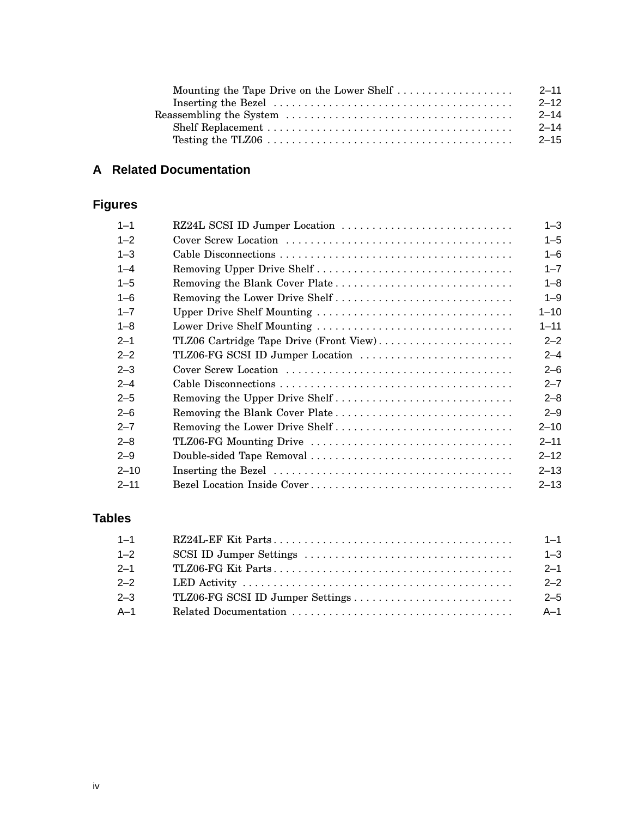| Mounting the Tape Drive on the Lower Shelf | $2 - 11$ |
|--------------------------------------------|----------|
|                                            | $2 - 12$ |
|                                            | $2 - 14$ |
|                                            | $2 - 14$ |
|                                            | $2 - 15$ |

### **A Related Documentation**

## **Figures**

| $1 - 1$  | RZ24L SCSI ID Jumper Location           | $1 - 3$  |
|----------|-----------------------------------------|----------|
| $1 - 2$  |                                         | $1 - 5$  |
| $1 - 3$  |                                         | $1 - 6$  |
| $1 - 4$  |                                         | $1 - 7$  |
| $1 - 5$  |                                         | $1 - 8$  |
| $1 - 6$  | Removing the Lower Drive Shelf          | $1 - 9$  |
| $1 - 7$  | Upper Drive Shelf Mounting              | $1 - 10$ |
| $1 - 8$  | Lower Drive Shelf Mounting              | $1 - 11$ |
| $2 - 1$  | TLZ06 Cartridge Tape Drive (Front View) | $2 - 2$  |
| $2 - 2$  | TLZ06-FG SCSI ID Jumper Location        | $2 - 4$  |
| $2 - 3$  |                                         | $2 - 6$  |
| $2 - 4$  |                                         | $2 - 7$  |
| $2 - 5$  | Removing the Upper Drive Shelf          | $2 - 8$  |
| $2 - 6$  |                                         | $2 - 9$  |
| $2 - 7$  | Removing the Lower Drive Shelf          | $2 - 10$ |
| $2 - 8$  |                                         | $2 - 11$ |
| $2 - 9$  |                                         | $2 - 12$ |
| $2 - 10$ |                                         | $2 - 13$ |
| $2 - 11$ |                                         | $2 - 13$ |

### **Tables**

| $1 - 1$ | $1 - 1$ |
|---------|---------|
| $1 - 2$ | $1 - 3$ |
| $2 - 1$ | $2 - 1$ |
| $2 - 2$ | $2 - 2$ |
| $2 - 3$ | $2 - 5$ |
| $A-1$   | $A-1$   |
|         |         |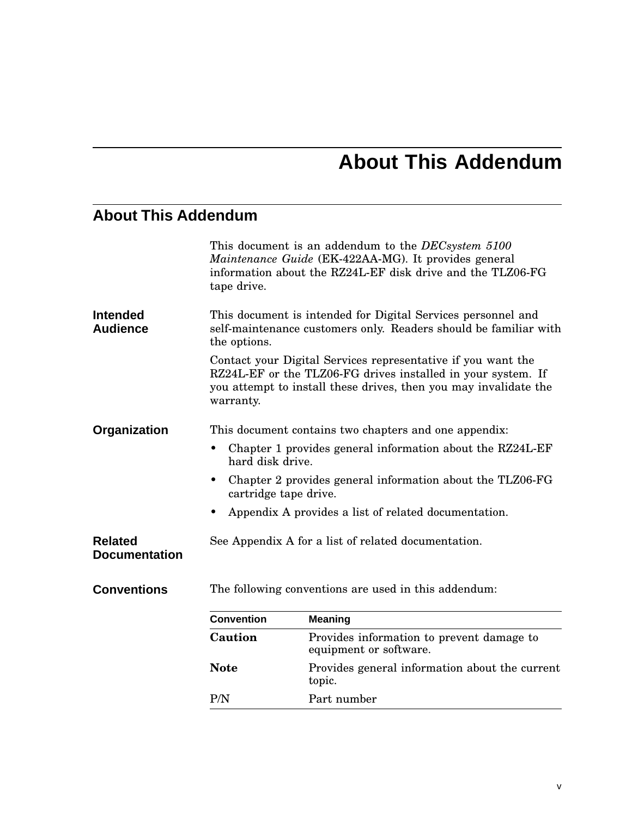## **About This Addendum**

## **About This Addendum**

|                                        | tape drive.                                          | This document is an addendum to the <i>DECsystem</i> 5100<br>Maintenance Guide (EK-422AA-MG). It provides general<br>information about the RZ24L-EF disk drive and the TLZ06-FG                  |
|----------------------------------------|------------------------------------------------------|--------------------------------------------------------------------------------------------------------------------------------------------------------------------------------------------------|
| <b>Intended</b><br><b>Audience</b>     | the options.                                         | This document is intended for Digital Services personnel and<br>self-maintenance customers only. Readers should be familiar with                                                                 |
|                                        | warranty.                                            | Contact your Digital Services representative if you want the<br>RZ24L-EF or the TLZ06-FG drives installed in your system. If<br>you attempt to install these drives, then you may invalidate the |
| Organization                           |                                                      | This document contains two chapters and one appendix:                                                                                                                                            |
|                                        | hard disk drive.                                     | Chapter 1 provides general information about the RZ24L-EF                                                                                                                                        |
|                                        | cartridge tape drive.                                | Chapter 2 provides general information about the TLZ06-FG                                                                                                                                        |
|                                        |                                                      | Appendix A provides a list of related documentation.                                                                                                                                             |
| <b>Related</b><br><b>Documentation</b> |                                                      | See Appendix A for a list of related documentation.                                                                                                                                              |
| <b>Conventions</b>                     | The following conventions are used in this addendum: |                                                                                                                                                                                                  |
|                                        | <b>Convention</b>                                    | <b>Meaning</b>                                                                                                                                                                                   |
|                                        | Caution                                              | Provides information to prevent damage to<br>equipment or software.                                                                                                                              |
|                                        | <b>Note</b>                                          | Provides general information about the current<br>topic.                                                                                                                                         |
|                                        | P/N                                                  | Part number                                                                                                                                                                                      |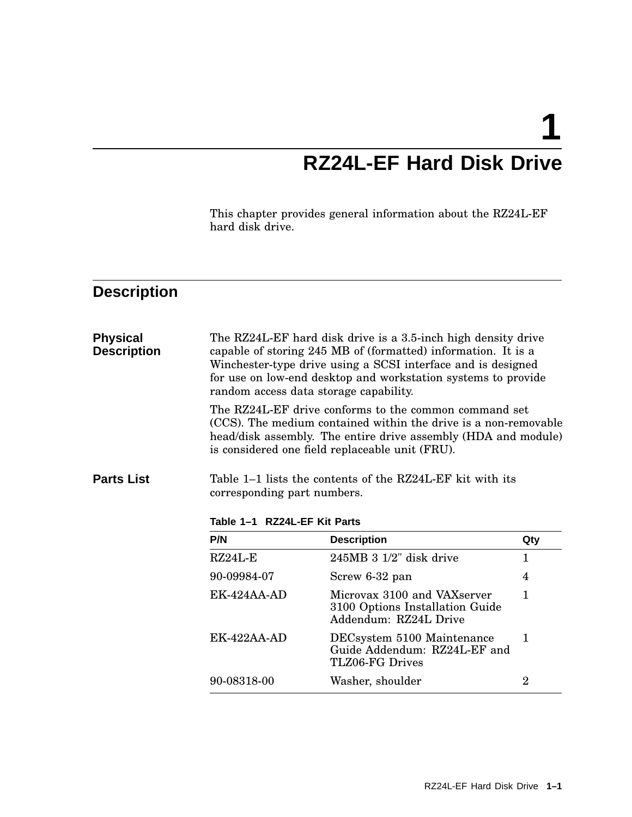## **1 RZ24L-EF Hard Disk Drive**

This chapter provides general information about the RZ24L-EF hard disk drive.

## **Description**

| <b>Physical</b><br><b>Description</b> | random access data storage capability.                      | The RZ24L-EF hard disk drive is a 3.5-inch high density drive<br>capable of storing 245 MB of (formatted) information. It is a<br>Winchester-type drive using a SCSI interface and is designed<br>for use on low-end desktop and workstation systems to provide<br>The RZ24L-EF drive conforms to the common command set<br>(CCS). The medium contained within the drive is a non-removable<br>head/disk assembly. The entire drive assembly (HDA and module)<br>is considered one field replaceable unit (FRU). |                |
|---------------------------------------|-------------------------------------------------------------|------------------------------------------------------------------------------------------------------------------------------------------------------------------------------------------------------------------------------------------------------------------------------------------------------------------------------------------------------------------------------------------------------------------------------------------------------------------------------------------------------------------|----------------|
| <b>Parts List</b>                     | corresponding part numbers.<br>Table 1-1 RZ24L-EF Kit Parts | Table 1–1 lists the contents of the RZ24L-EF kit with its                                                                                                                                                                                                                                                                                                                                                                                                                                                        |                |
|                                       | P/N                                                         | <b>Description</b>                                                                                                                                                                                                                                                                                                                                                                                                                                                                                               | Qty            |
|                                       | $RZ24L-E$                                                   | $245MB$ 3 $1/2$ " disk drive                                                                                                                                                                                                                                                                                                                                                                                                                                                                                     | $\mathbf{1}$   |
|                                       | 90-09984-07                                                 | Screw 6-32 pan                                                                                                                                                                                                                                                                                                                                                                                                                                                                                                   | 4              |
|                                       | $EK-424AA-AD$                                               | Microvax 3100 and VAXserver<br>3100 Options Installation Guide<br>Addendum: RZ24L Drive                                                                                                                                                                                                                                                                                                                                                                                                                          | 1              |
|                                       | $EK-422AA-AD$                                               | DECsystem 5100 Maintenance<br>Guide Addendum: RZ24L-EF and<br>TLZ06-FG Drives                                                                                                                                                                                                                                                                                                                                                                                                                                    | $\mathbf{1}$   |
|                                       | 90-08318-00                                                 | Washer, shoulder                                                                                                                                                                                                                                                                                                                                                                                                                                                                                                 | $\overline{2}$ |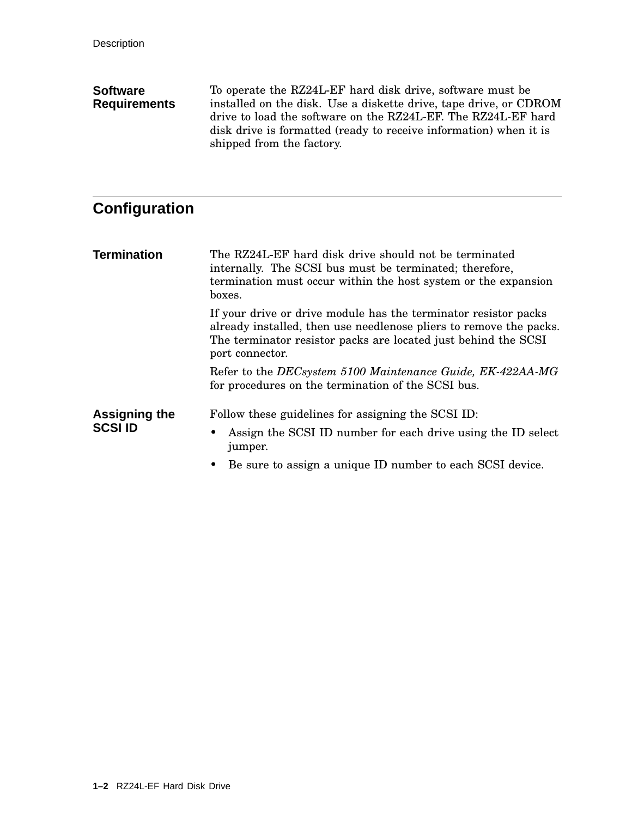#### **Software Requirements** To operate the RZ24L-EF hard disk drive, software must be installed on the disk. Use a diskette drive, tape drive, or CDROM drive to load the software on the RZ24L-EF. The RZ24L-EF hard disk drive is formatted (ready to receive information) when it is shipped from the factory.

### **Configuration**

**Termination** The RZ24L-EF hard disk drive should not be terminated internally. The SCSI bus must be terminated; therefore, termination must occur within the host system or the expansion boxes. If your drive or drive module has the terminator resistor packs already installed, then use needlenose pliers to remove the packs. The terminator resistor packs are located just behind the SCSI port connector. Refer to the *DECsystem 5100 Maintenance Guide, EK-422AA-MG* for procedures on the termination of the SCSI bus. **Assigning the SCSI ID** Follow these guidelines for assigning the SCSI ID: • Assign the SCSI ID number for each drive using the ID select jumper.

• Be sure to assign a unique ID number to each SCSI device.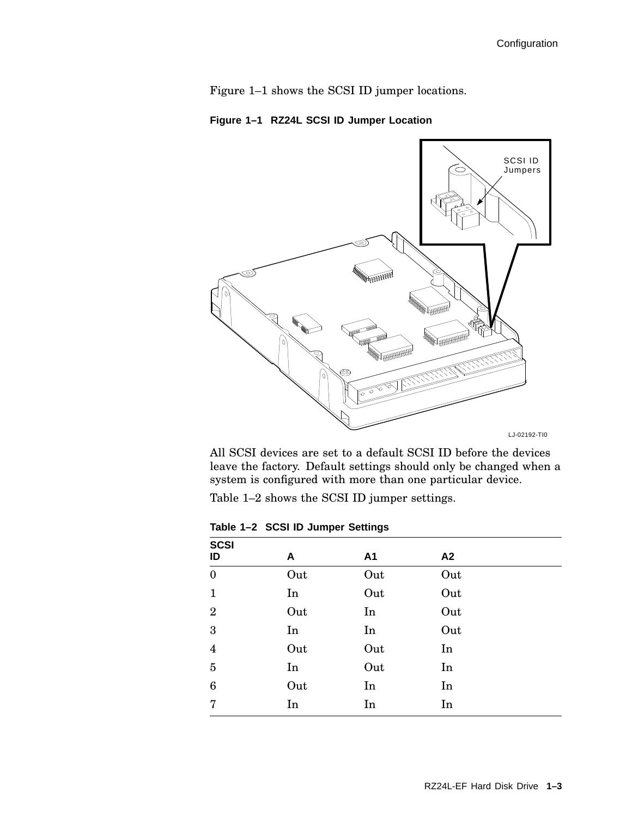Figure 1–1 shows the SCSI ID jumper locations.

**Figure 1–1 RZ24L SCSI ID Jumper Location**



All SCSI devices are set to a default SCSI ID before the devices leave the factory. Default settings should only be changed when a system is configured with more than one particular device.

Table 1–2 shows the SCSI ID jumper settings.

**Table 1–2 SCSI ID Jumper Settings**

| <b>SCSI</b><br>ID | A   | A1  | A2  |
|-------------------|-----|-----|-----|
| $\boldsymbol{0}$  | Out | Out | Out |
| $\mathbf{1}$      | In  | Out | Out |
| $\overline{2}$    | Out | In  | Out |
| $\boldsymbol{3}$  | In  | In  | Out |
| $\overline{4}$    | Out | Out | In  |
| $\bf 5$           | In  | Out | In  |
| $\bf 6$           | Out | In  | In  |
| $\overline{7}$    | In  | In  | In  |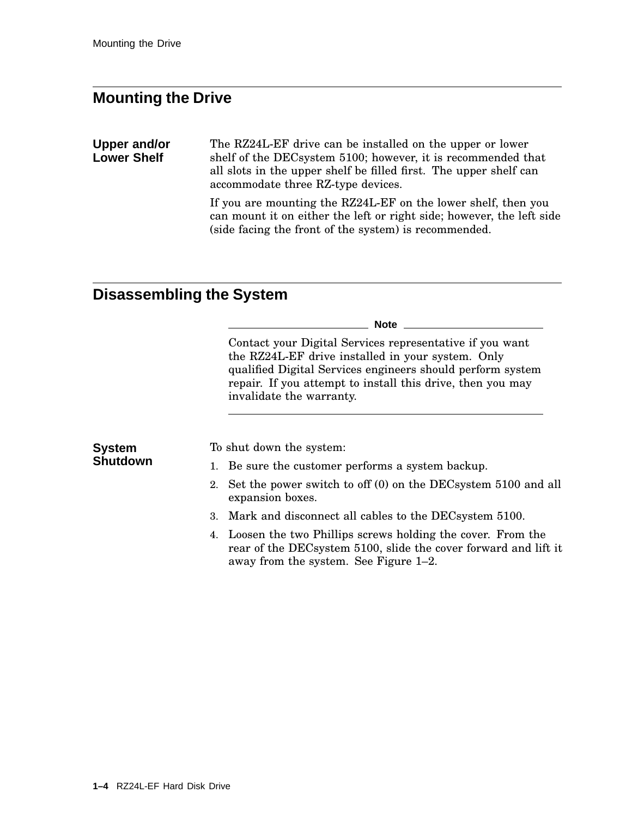### **Mounting the Drive**

**Upper and/or Lower Shelf** The RZ24L-EF drive can be installed on the upper or lower shelf of the DECsystem 5100; however, it is recommended that all slots in the upper shelf be filled first. The upper shelf can accommodate three RZ-type devices.

> If you are mounting the RZ24L-EF on the lower shelf, then you can mount it on either the left or right side; however, the left side (side facing the front of the system) is recommended.

## **Disassembling the System**

|                 | <b>Note</b>                                                                                                                                                                                                                                                           |
|-----------------|-----------------------------------------------------------------------------------------------------------------------------------------------------------------------------------------------------------------------------------------------------------------------|
|                 | Contact your Digital Services representative if you want<br>the RZ24L-EF drive installed in your system. Only<br>qualified Digital Services engineers should perform system<br>repair. If you attempt to install this drive, then you may<br>invalidate the warranty. |
| <b>System</b>   | To shut down the system:                                                                                                                                                                                                                                              |
| <b>Shutdown</b> | 1. Be sure the customer performs a system backup.                                                                                                                                                                                                                     |
|                 | 2. Set the power switch to off (0) on the DEC system 5100 and all<br>expansion boxes.                                                                                                                                                                                 |
|                 | 3. Mark and disconnect all cables to the DEC system 5100.                                                                                                                                                                                                             |
|                 | 4. Loosen the two Phillips screws holding the cover. From the<br>rear of the DECsystem 5100, slide the cover forward and lift it<br>away from the system. See Figure 1-2.                                                                                             |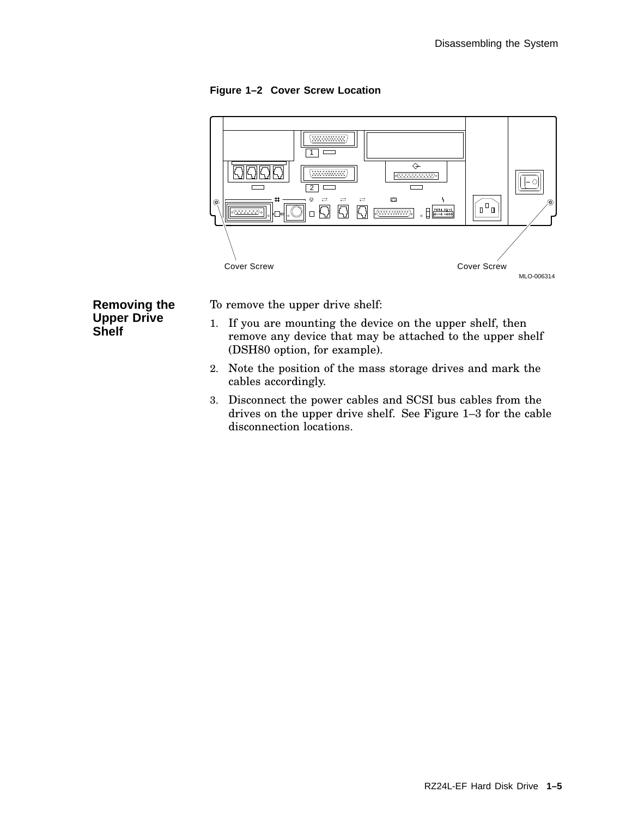**Figure 1–2 Cover Screw Location**



**Removing the Upper Drive Shelf**

To remove the upper drive shelf:

- 1. If you are mounting the device on the upper shelf, then remove any device that may be attached to the upper shelf (DSH80 option, for example).
- 2. Note the position of the mass storage drives and mark the cables accordingly.
- 3. Disconnect the power cables and SCSI bus cables from the drives on the upper drive shelf. See Figure 1–3 for the cable disconnection locations.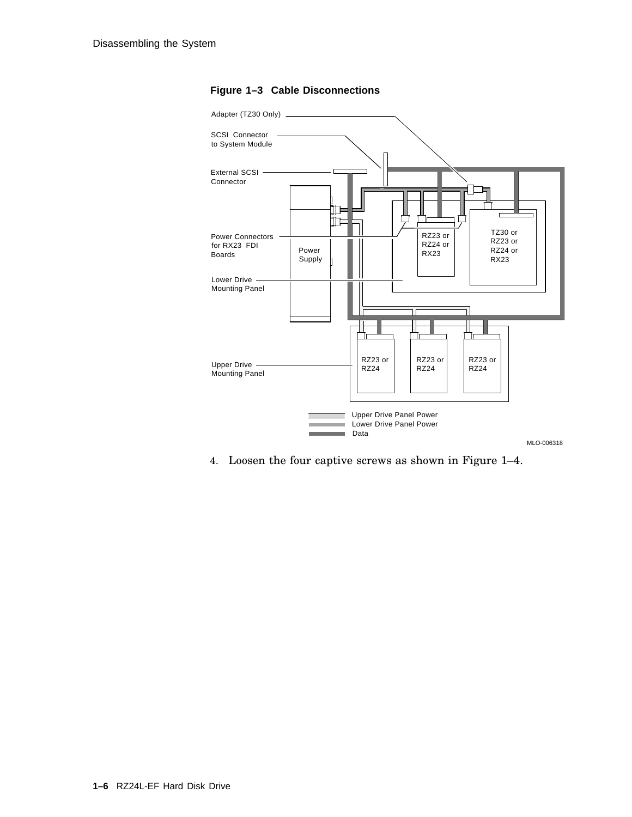

#### **Figure 1–3 Cable Disconnections**

4. Loosen the four captive screws as shown in Figure 1–4.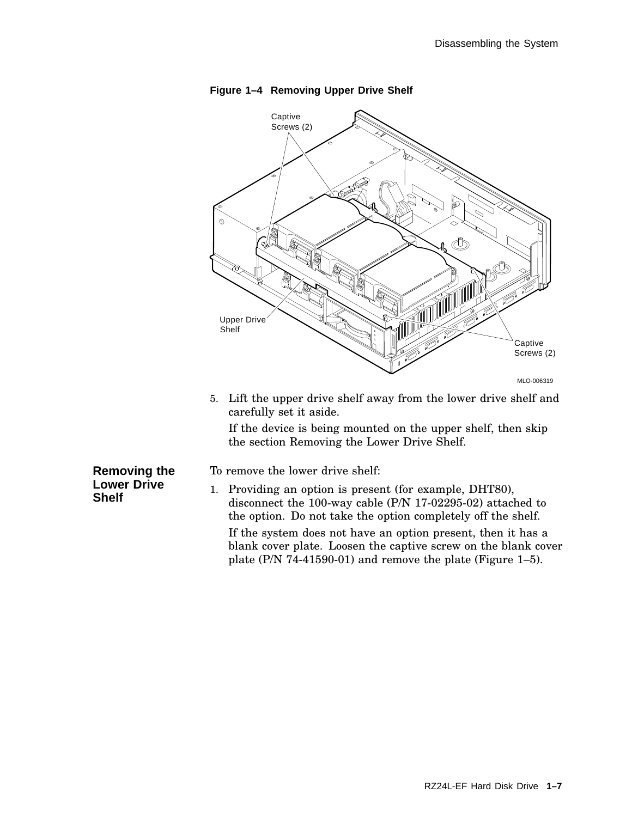

**Figure 1–4 Removing Upper Drive Shelf**

5. Lift the upper drive shelf away from the lower drive shelf and carefully set it aside.

If the device is being mounted on the upper shelf, then skip the section Removing the Lower Drive Shelf.

**Removing the Lower Drive Shelf**

- To remove the lower drive shelf:
- 1. Providing an option is present (for example, DHT80), disconnect the 100-way cable (P/N 17-02295-02) attached to the option. Do not take the option completely off the shelf. If the system does not have an option present, then it has a blank cover plate. Loosen the captive screw on the blank cover plate (P/N 74-41590-01) and remove the plate (Figure 1–5).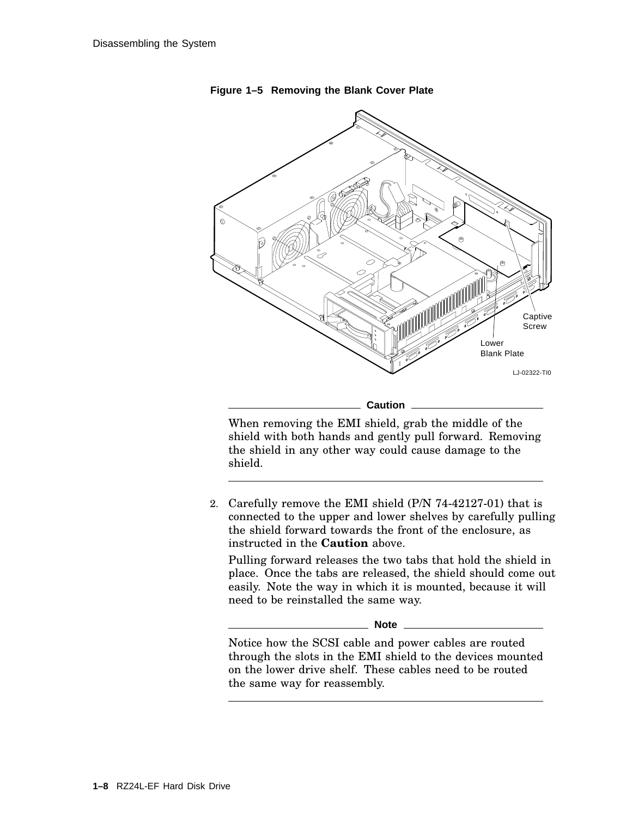

**Figure 1–5 Removing the Blank Cover Plate**

When removing the EMI shield, grab the middle of the shield with both hands and gently pull forward. Removing the shield in any other way could cause damage to the shield.

2. Carefully remove the EMI shield (P/N 74-42127-01) that is connected to the upper and lower shelves by carefully pulling the shield forward towards the front of the enclosure, as instructed in the **Caution** above.

Pulling forward releases the two tabs that hold the shield in place. Once the tabs are released, the shield should come out easily. Note the way in which it is mounted, because it will need to be reinstalled the same way.

**Note**

Notice how the SCSI cable and power cables are routed through the slots in the EMI shield to the devices mounted on the lower drive shelf. These cables need to be routed the same way for reassembly.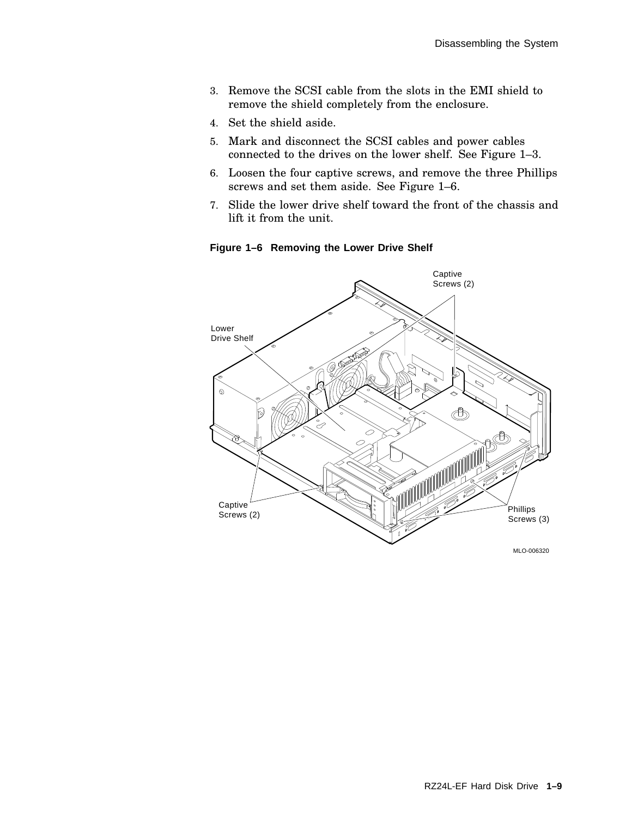- 3. Remove the SCSI cable from the slots in the EMI shield to remove the shield completely from the enclosure.
- 4. Set the shield aside.
- 5. Mark and disconnect the SCSI cables and power cables connected to the drives on the lower shelf. See Figure 1–3.
- 6. Loosen the four captive screws, and remove the three Phillips screws and set them aside. See Figure 1–6.
- 7. Slide the lower drive shelf toward the front of the chassis and lift it from the unit.

**Figure 1–6 Removing the Lower Drive Shelf**



MLO-006320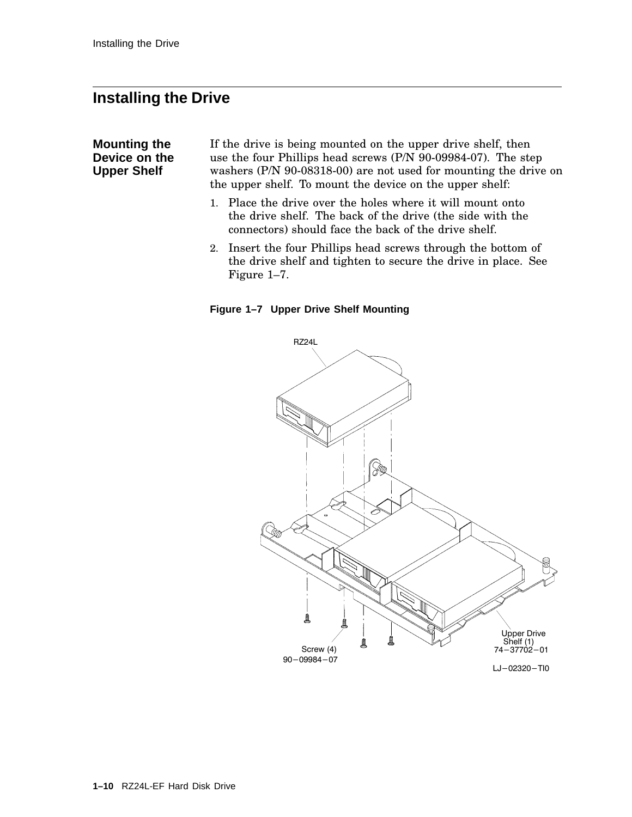### **Installing the Drive**

#### **Mounting the Device on the Upper Shelf**

If the drive is being mounted on the upper drive shelf, then use the four Phillips head screws (P/N 90-09984-07). The step washers (P/N 90-08318-00) are not used for mounting the drive on the upper shelf. To mount the device on the upper shelf:

- 1. Place the drive over the holes where it will mount onto the drive shelf. The back of the drive (the side with the connectors) should face the back of the drive shelf.
- 2. Insert the four Phillips head screws through the bottom of the drive shelf and tighten to secure the drive in place. See Figure 1–7.

**Figure 1–7 Upper Drive Shelf Mounting**

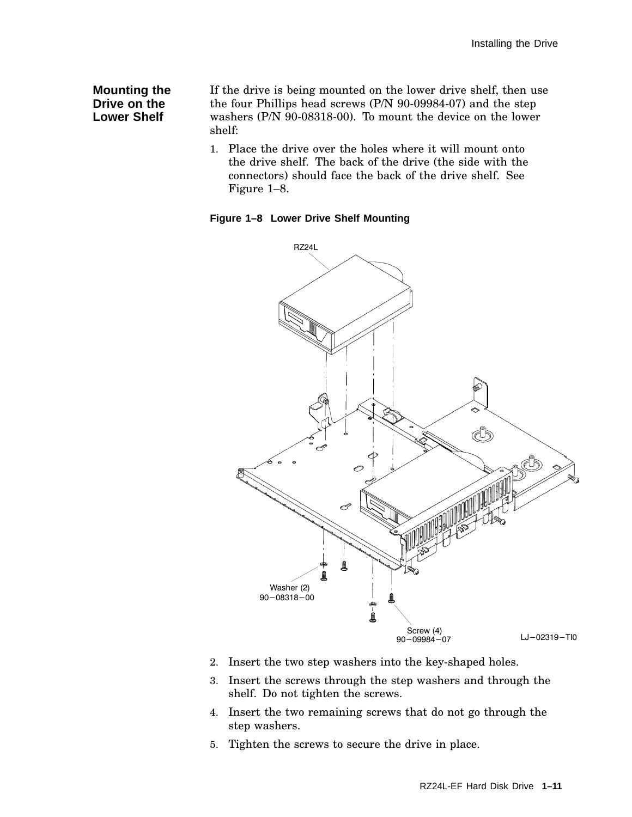#### **Mounting the Drive on the Lower Shelf**

If the drive is being mounted on the lower drive shelf, then use the four Phillips head screws (P/N 90-09984-07) and the step washers (P/N 90-08318-00). To mount the device on the lower shelf:

1. Place the drive over the holes where it will mount onto the drive shelf. The back of the drive (the side with the connectors) should face the back of the drive shelf. See Figure 1–8.

**Figure 1–8 Lower Drive Shelf Mounting**



- 2. Insert the two step washers into the key-shaped holes.
- 3. Insert the screws through the step washers and through the shelf. Do not tighten the screws.
- 4. Insert the two remaining screws that do not go through the step washers.
- 5. Tighten the screws to secure the drive in place.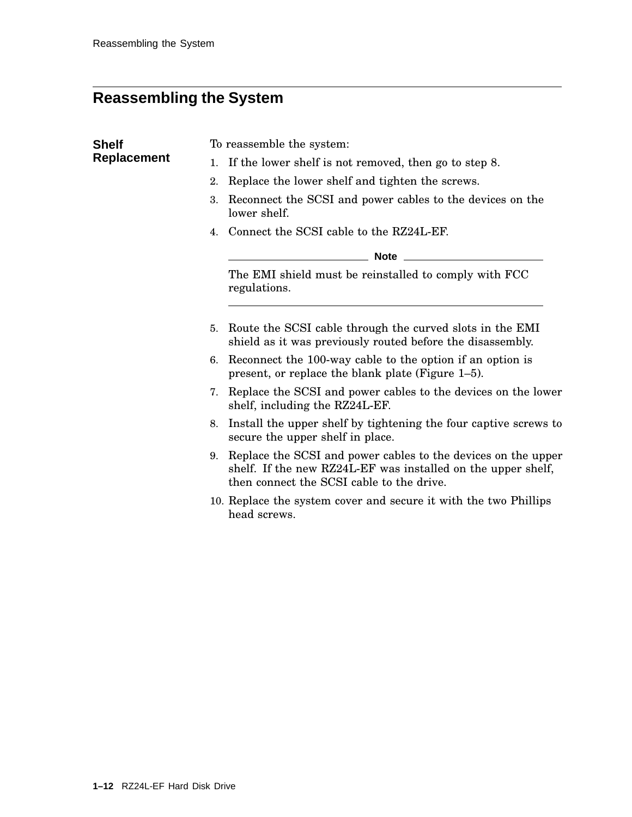## **Reassembling the System**

| <b>Shelf</b>       | To reassemble the system:                                                                                                                                                        |  |  |  |
|--------------------|----------------------------------------------------------------------------------------------------------------------------------------------------------------------------------|--|--|--|
| <b>Replacement</b> | If the lower shelf is not removed, then go to step 8.                                                                                                                            |  |  |  |
|                    | Replace the lower shelf and tighten the screws.<br>2.                                                                                                                            |  |  |  |
|                    | Reconnect the SCSI and power cables to the devices on the<br>3.<br>lower shelf.                                                                                                  |  |  |  |
|                    | 4. Connect the SCSI cable to the RZ24L-EF.                                                                                                                                       |  |  |  |
|                    | _________ Note _____________                                                                                                                                                     |  |  |  |
|                    | The EMI shield must be reinstalled to comply with FCC<br>regulations.                                                                                                            |  |  |  |
|                    | Route the SCSI cable through the curved slots in the EMI<br>5.<br>shield as it was previously routed before the disassembly.                                                     |  |  |  |
|                    | 6. Reconnect the 100-way cable to the option if an option is<br>present, or replace the blank plate (Figure 1-5).                                                                |  |  |  |
|                    | Replace the SCSI and power cables to the devices on the lower<br>7.<br>shelf, including the RZ24L-EF.                                                                            |  |  |  |
|                    | Install the upper shelf by tightening the four captive screws to<br>8.<br>secure the upper shelf in place.                                                                       |  |  |  |
|                    | Replace the SCSI and power cables to the devices on the upper<br>9.<br>shelf. If the new RZ24L-EF was installed on the upper shelf,<br>then connect the SCSI cable to the drive. |  |  |  |
|                    | 10. Replace the system cover and secure it with the two Phillips<br>head screws.                                                                                                 |  |  |  |
|                    |                                                                                                                                                                                  |  |  |  |
|                    |                                                                                                                                                                                  |  |  |  |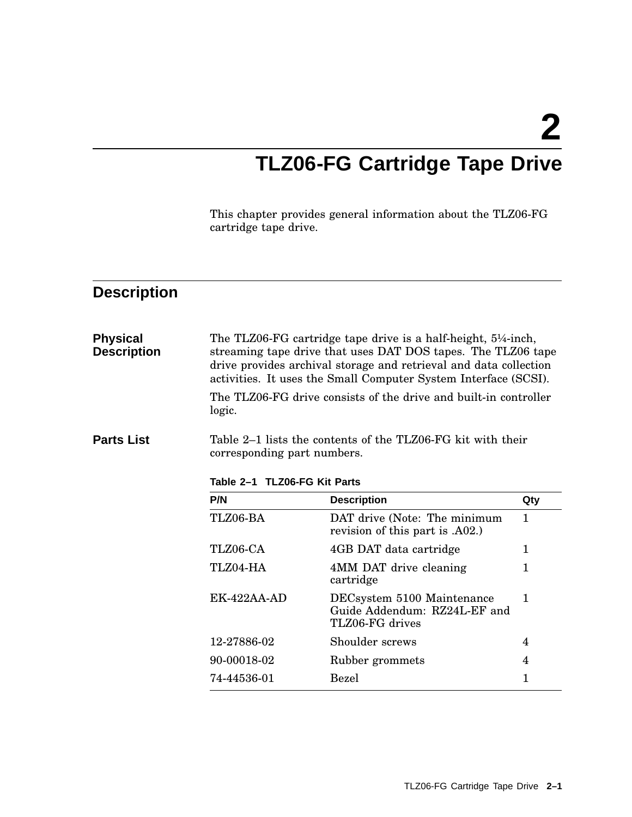**2**

## **TLZ06-FG Cartridge Tape Drive**

This chapter provides general information about the TLZ06-FG cartridge tape drive.

## **Description**

| <b>Physical</b><br><b>Description</b> | logic.                                                                                                                     | The TLZ06-FG cartridge tape drive is a half-height, $5\frac{1}{4}$ -inch,<br>streaming tape drive that uses DAT DOS tapes. The TLZ06 tape<br>drive provides archival storage and retrieval and data collection<br>activities. It uses the Small Computer System Interface (SCSI).<br>The TLZ06-FG drive consists of the drive and built-in controller |              |
|---------------------------------------|----------------------------------------------------------------------------------------------------------------------------|-------------------------------------------------------------------------------------------------------------------------------------------------------------------------------------------------------------------------------------------------------------------------------------------------------------------------------------------------------|--------------|
| <b>Parts List</b>                     | Table 2–1 lists the contents of the TLZ06-FG kit with their<br>corresponding part numbers.<br>Table 2-1 TLZ06-FG Kit Parts |                                                                                                                                                                                                                                                                                                                                                       |              |
|                                       | P/N                                                                                                                        | <b>Description</b>                                                                                                                                                                                                                                                                                                                                    | Qty          |
|                                       | TLZ06-BA                                                                                                                   | DAT drive (Note: The minimum<br>revision of this part is .A02.)                                                                                                                                                                                                                                                                                       | 1.           |
|                                       | TLZ06-CA                                                                                                                   | 4GB DAT data cartridge                                                                                                                                                                                                                                                                                                                                | 1            |
|                                       | TLZ04-HA                                                                                                                   | 4MM DAT drive cleaning<br>cartridge                                                                                                                                                                                                                                                                                                                   | 1            |
|                                       | $EK-422AA-AD$                                                                                                              | DECsystem 5100 Maintenance<br>Guide Addendum: RZ24L-EF and<br>TLZ06-FG drives                                                                                                                                                                                                                                                                         | $\mathbf{1}$ |
|                                       | 12-27886-02                                                                                                                | Shoulder screws                                                                                                                                                                                                                                                                                                                                       | 4            |
|                                       | 90-00018-02                                                                                                                | Rubber grommets                                                                                                                                                                                                                                                                                                                                       | 4            |
|                                       | 74-44536-01                                                                                                                | <b>Bezel</b>                                                                                                                                                                                                                                                                                                                                          | 1            |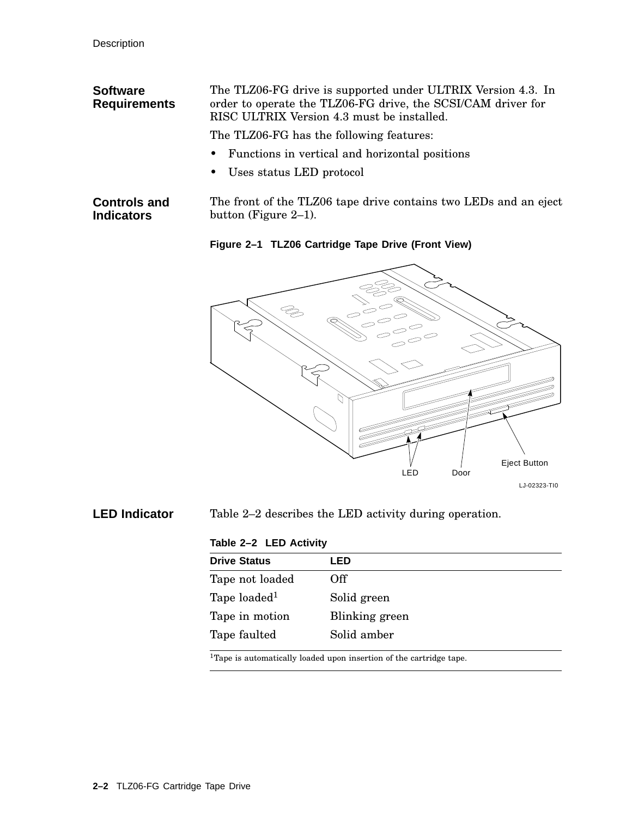| <b>Software</b><br><b>Requirements</b>   | The TLZ06-FG drive is supported under ULTRIX Version 4.3. In<br>order to operate the TLZ06-FG drive, the SCSI/CAM driver for<br>RISC ULTRIX Version 4.3 must be installed. |
|------------------------------------------|----------------------------------------------------------------------------------------------------------------------------------------------------------------------------|
|                                          | The TLZ06-FG has the following features:                                                                                                                                   |
|                                          | • Functions in vertical and horizontal positions                                                                                                                           |
|                                          | • Uses status LED protocol                                                                                                                                                 |
| <b>Controls and</b><br><b>Indicators</b> | The front of the TLZ06 tape drive contains two LEDs and an eject<br>button (Figure $2-1$ ).                                                                                |

**Figure 2–1 TLZ06 Cartridge Tape Drive (Front View)**



**LED Indicator** Table 2–2 describes the LED activity during operation.

#### **Table 2–2 LED Activity**

| LED            |
|----------------|
| Off            |
| Solid green    |
| Blinking green |
| Solid amber    |
|                |

 $^1\!$  Tape is automatically loaded upon insertion of the cartridge tape.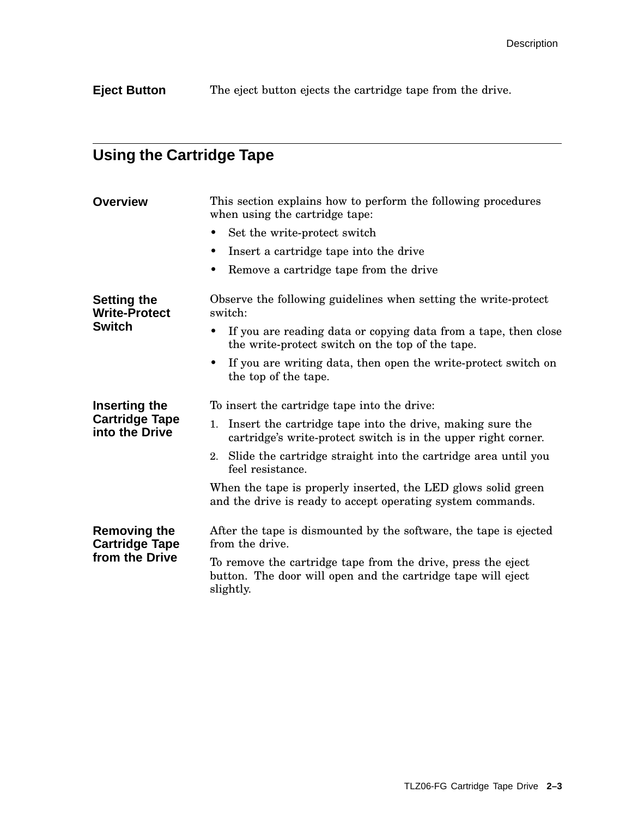**Eject Button** The eject button ejects the cartridge tape from the drive.

## **Using the Cartridge Tape**

| <b>Overview</b>                                                | This section explains how to perform the following procedures<br>when using the cartridge tape:                                           |  |  |  |
|----------------------------------------------------------------|-------------------------------------------------------------------------------------------------------------------------------------------|--|--|--|
|                                                                | Set the write-protect switch                                                                                                              |  |  |  |
|                                                                | Insert a cartridge tape into the drive                                                                                                    |  |  |  |
|                                                                | Remove a cartridge tape from the drive                                                                                                    |  |  |  |
| <b>Setting the</b><br><b>Write-Protect</b><br><b>Switch</b>    | Observe the following guidelines when setting the write-protect<br>switch:                                                                |  |  |  |
|                                                                | If you are reading data or copying data from a tape, then close<br>the write-protect switch on the top of the tape.                       |  |  |  |
|                                                                | If you are writing data, then open the write-protect switch on<br>the top of the tape.                                                    |  |  |  |
| Inserting the<br><b>Cartridge Tape</b><br>into the Drive       | To insert the cartridge tape into the drive:                                                                                              |  |  |  |
|                                                                | Insert the cartridge tape into the drive, making sure the<br>1.<br>cartridge's write-protect switch is in the upper right corner.         |  |  |  |
|                                                                | 2. Slide the cartridge straight into the cartridge area until you<br>feel resistance.                                                     |  |  |  |
|                                                                | When the tape is properly inserted, the LED glows solid green<br>and the drive is ready to accept operating system commands.              |  |  |  |
| <b>Removing the</b><br><b>Cartridge Tape</b><br>from the Drive | After the tape is dismounted by the software, the tape is ejected<br>from the drive.                                                      |  |  |  |
|                                                                | To remove the cartridge tape from the drive, press the eject<br>button. The door will open and the cartridge tape will eject<br>slightly. |  |  |  |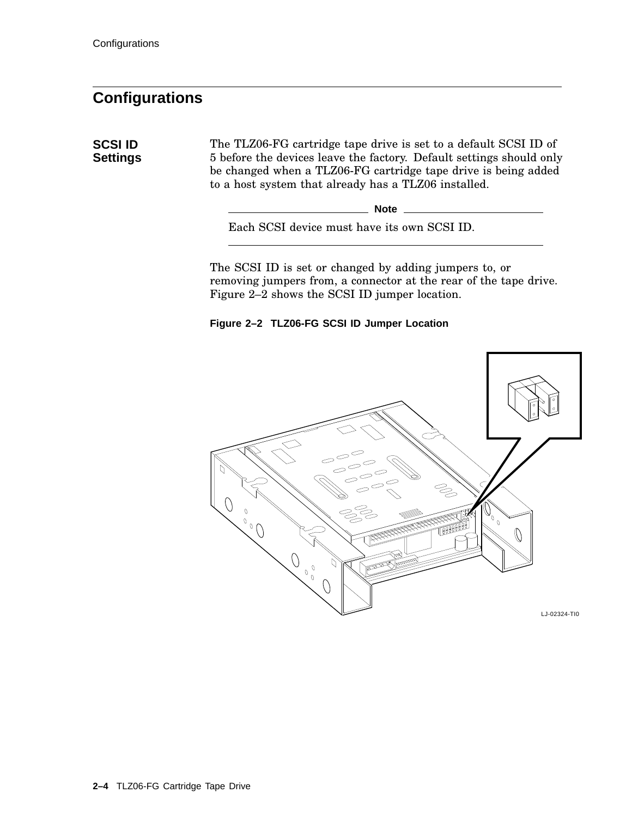**SCSI ID Settings**

### **Configurations**

The TLZ06-FG cartridge tape drive is set to a default SCSI ID of 5 before the devices leave the factory. Default settings should only be changed when a TLZ06-FG cartridge tape drive is being added to a host system that already has a TLZ06 installed.

**Note** \_\_\_

Each SCSI device must have its own SCSI ID.

The SCSI ID is set or changed by adding jumpers to, or removing jumpers from, a connector at the rear of the tape drive. Figure 2–2 shows the SCSI ID jumper location.



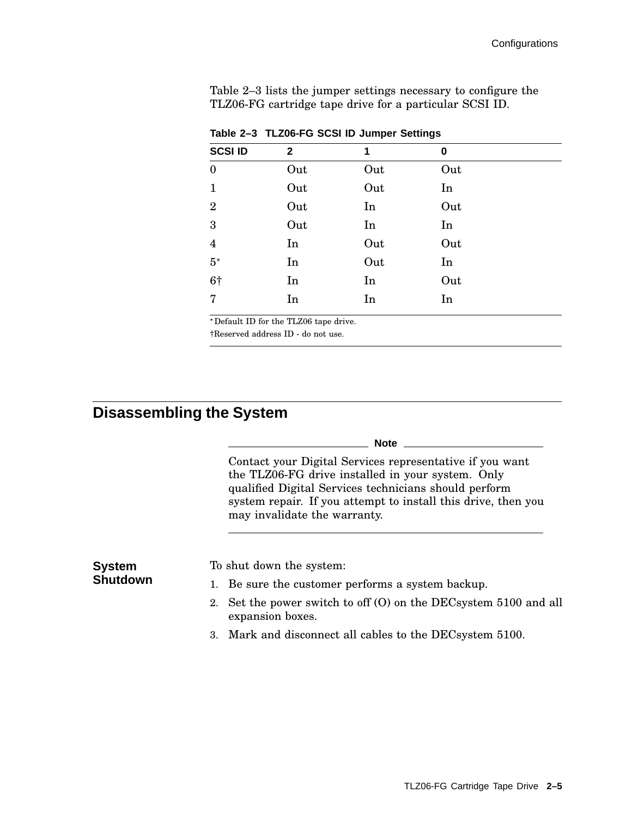Table 2–3 lists the jumper settings necessary to configure the TLZ06-FG cartridge tape drive for a particular SCSI ID.

| <b>SCSI ID</b>   | $\mathbf{2}$ | 1   | 0   |
|------------------|--------------|-----|-----|
| $\boldsymbol{0}$ | Out          | Out | Out |
| $\mathbf{1}$     | Out          | Out | In  |
| $\overline{2}$   | Out          | In  | Out |
| 3                | Out          | In  | In  |
| $\overline{4}$   | In           | Out | Out |
| $5*$             | In           | Out | In  |
| 6†               | In           | In  | Out |
| $\overline{7}$   | In           | In  | In  |

**Table 2–3 TLZ06-FG SCSI ID Jumper Settings**

Default ID for the TLZ06 tape drive.

†Reserved address ID - do not use.

## **Disassembling the System**

|                                  | <b>Note</b>                                                                                                                                                                                                                                                             |
|----------------------------------|-------------------------------------------------------------------------------------------------------------------------------------------------------------------------------------------------------------------------------------------------------------------------|
|                                  | Contact your Digital Services representative if you want<br>the TLZ06-FG drive installed in your system. Only<br>qualified Digital Services technicians should perform<br>system repair. If you attempt to install this drive, then you<br>may invalidate the warranty. |
| <b>System</b><br><b>Shutdown</b> | To shut down the system:                                                                                                                                                                                                                                                |
|                                  | 1. Be sure the customer performs a system backup.                                                                                                                                                                                                                       |
|                                  | 2. Set the power switch to off (O) on the DEC system 5100 and all<br>expansion boxes.                                                                                                                                                                                   |
|                                  | 3. Mark and disconnect all cables to the DEC system 5100.                                                                                                                                                                                                               |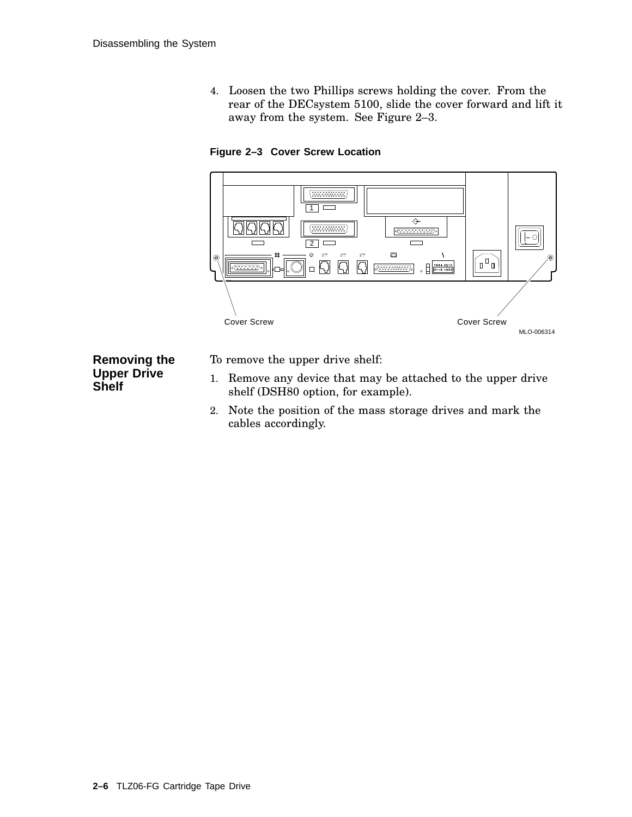4. Loosen the two Phillips screws holding the cover. From the rear of the DECsystem 5100, slide the cover forward and lift it away from the system. See Figure 2–3.

**Figure 2–3 Cover Screw Location**



#### **Removing the Upper Drive Shelf**

To remove the upper drive shelf:

- 1. Remove any device that may be attached to the upper drive shelf (DSH80 option, for example).
- 2. Note the position of the mass storage drives and mark the cables accordingly.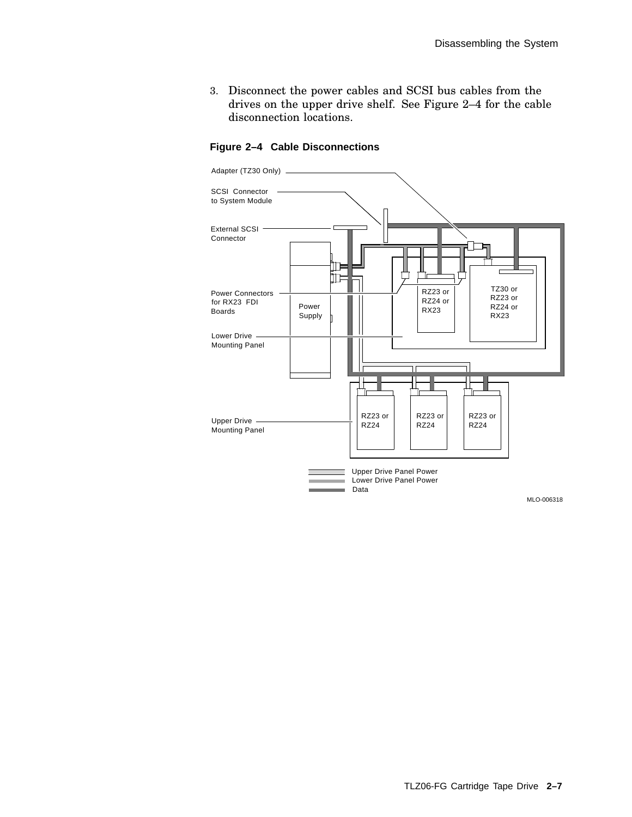3. Disconnect the power cables and SCSI bus cables from the drives on the upper drive shelf. See Figure 2–4 for the cable disconnection locations.



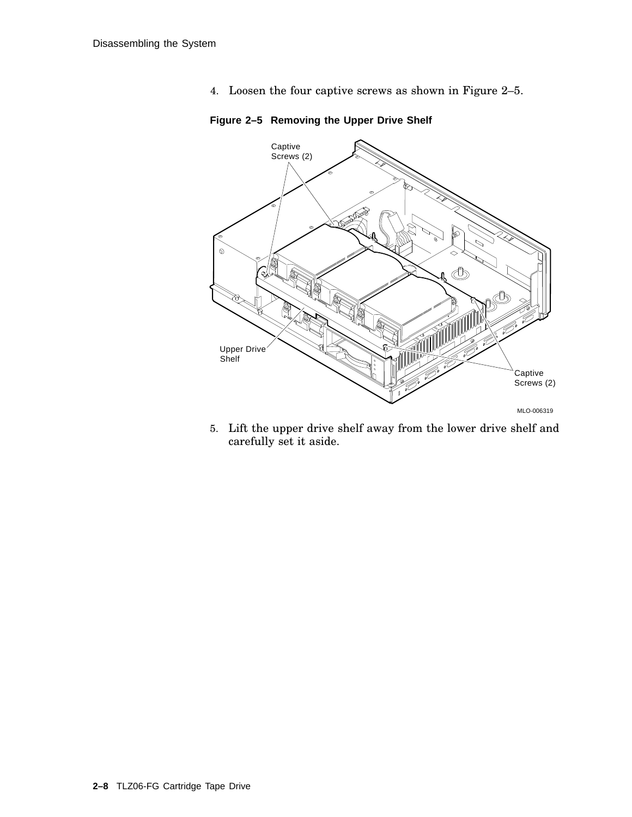4. Loosen the four captive screws as shown in Figure 2–5.



**Figure 2–5 Removing the Upper Drive Shelf**

5. Lift the upper drive shelf away from the lower drive shelf and carefully set it aside.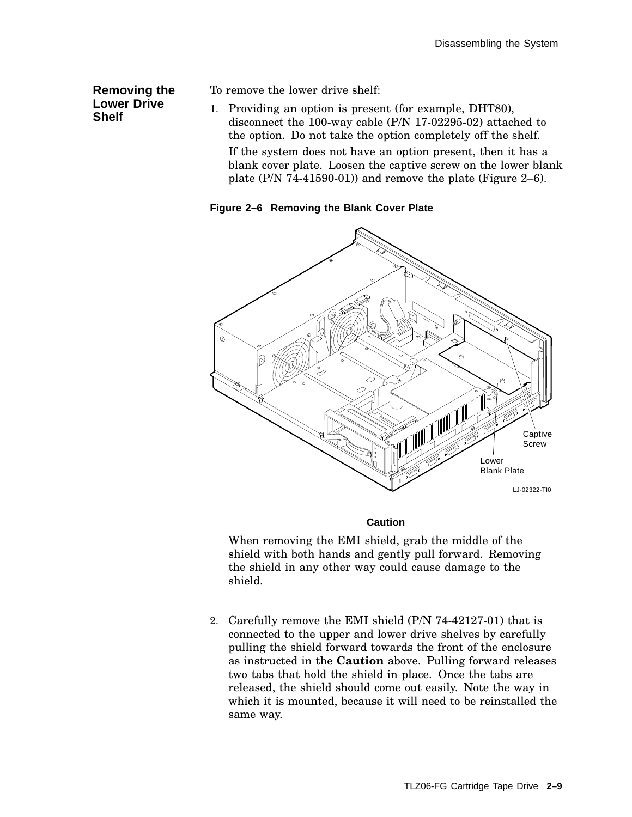#### **Removing the Lower Drive Shelf**

To remove the lower drive shelf:

1. Providing an option is present (for example, DHT80), disconnect the 100-way cable (P/N 17-02295-02) attached to the option. Do not take the option completely off the shelf. If the system does not have an option present, then it has a blank cover plate. Loosen the captive screw on the lower blank plate (P/N 74-41590-01)) and remove the plate (Figure 2–6).

#### **Figure 2–6 Removing the Blank Cover Plate**



When removing the EMI shield, grab the middle of the shield with both hands and gently pull forward. Removing the shield in any other way could cause damage to the shield.

2. Carefully remove the EMI shield (P/N 74-42127-01) that is connected to the upper and lower drive shelves by carefully pulling the shield forward towards the front of the enclosure as instructed in the **Caution** above. Pulling forward releases two tabs that hold the shield in place. Once the tabs are released, the shield should come out easily. Note the way in which it is mounted, because it will need to be reinstalled the same way.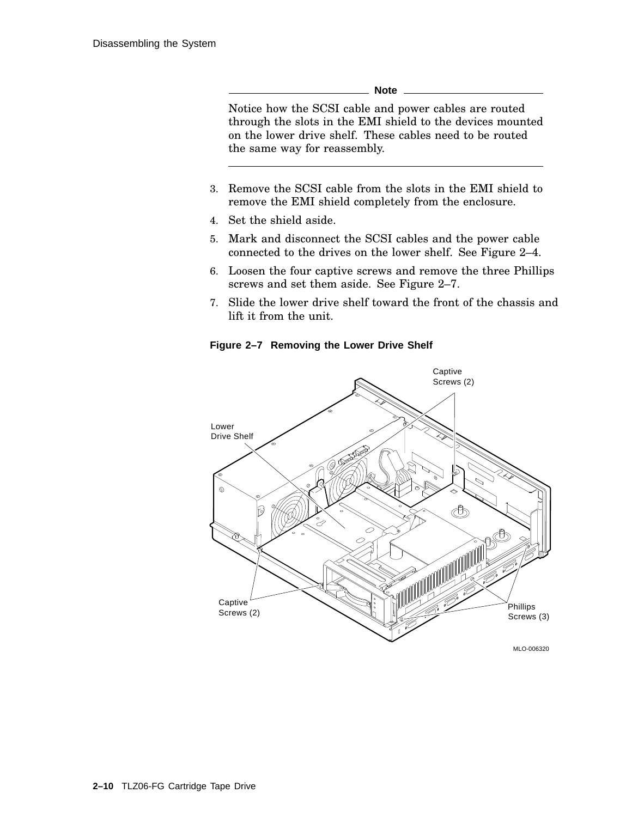**Note**

Notice how the SCSI cable and power cables are routed through the slots in the EMI shield to the devices mounted on the lower drive shelf. These cables need to be routed the same way for reassembly.

- 3. Remove the SCSI cable from the slots in the EMI shield to remove the EMI shield completely from the enclosure.
- 4. Set the shield aside.
- 5. Mark and disconnect the SCSI cables and the power cable connected to the drives on the lower shelf. See Figure 2–4.
- 6. Loosen the four captive screws and remove the three Phillips screws and set them aside. See Figure 2–7.
- 7. Slide the lower drive shelf toward the front of the chassis and lift it from the unit.

**Figure 2–7 Removing the Lower Drive Shelf**

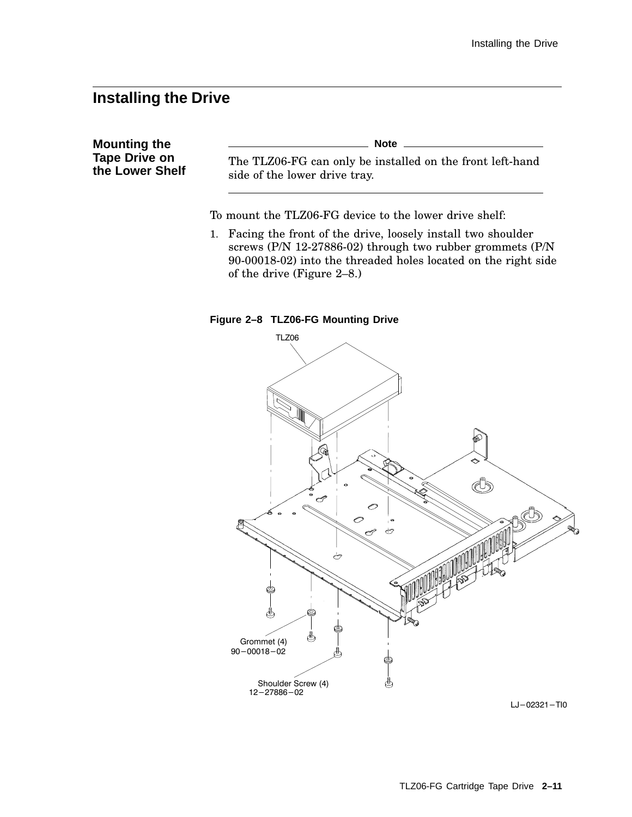### **Installing the Drive**

**Mounting the Tape Drive on the Lower Shelf Note** The TLZ06-FG can only be installed on the front left-hand side of the lower drive tray.

To mount the TLZ06-FG device to the lower drive shelf:

1. Facing the front of the drive, loosely install two shoulder screws (P/N 12-27886-02) through two rubber grommets (P/N 90-00018-02) into the threaded holes located on the right side of the drive (Figure 2–8.)

#### **Figure 2–8 TLZ06-FG Mounting Drive**



 $LJ - 02321 - TIO$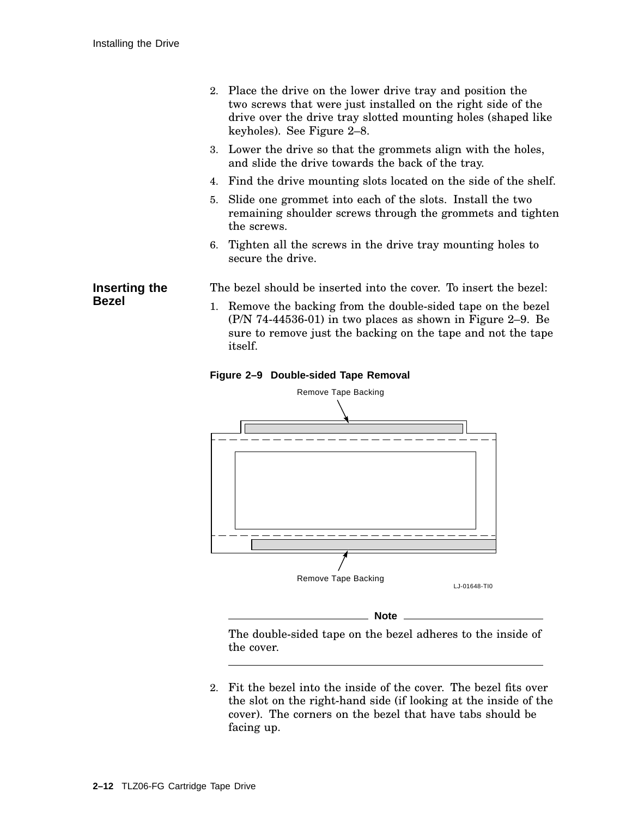- 2. Place the drive on the lower drive tray and position the two screws that were just installed on the right side of the drive over the drive tray slotted mounting holes (shaped like keyholes). See Figure 2–8.
- 3. Lower the drive so that the grommets align with the holes, and slide the drive towards the back of the tray.
- 4. Find the drive mounting slots located on the side of the shelf.
- 5. Slide one grommet into each of the slots. Install the two remaining shoulder screws through the grommets and tighten the screws.
- 6. Tighten all the screws in the drive tray mounting holes to secure the drive.

The bezel should be inserted into the cover. To insert the bezel:

1. Remove the backing from the double-sided tape on the bezel (P/N 74-44536-01) in two places as shown in Figure 2–9. Be sure to remove just the backing on the tape and not the tape itself.





The double-sided tape on the bezel adheres to the inside of the cover.

2. Fit the bezel into the inside of the cover. The bezel fits over the slot on the right-hand side (if looking at the inside of the cover). The corners on the bezel that have tabs should be facing up.

**Inserting the Bezel**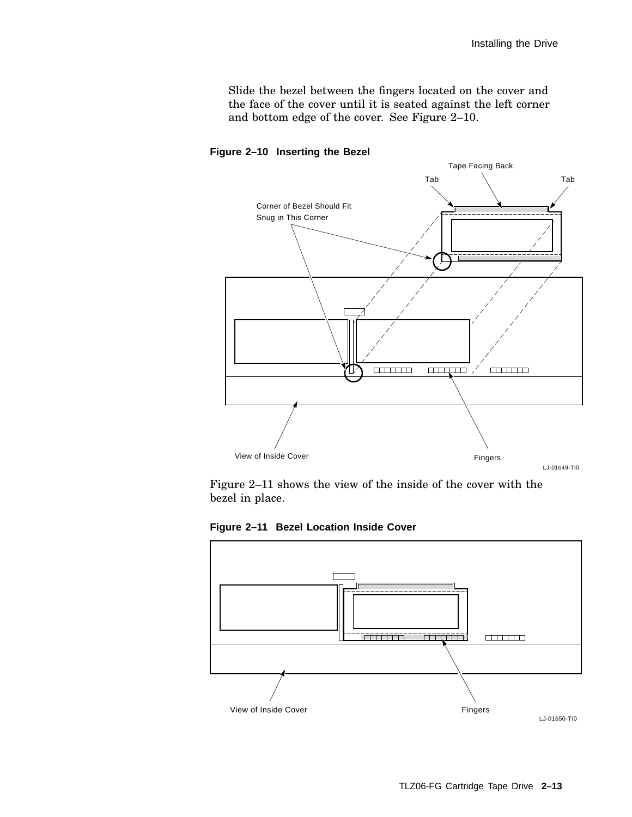Slide the bezel between the fingers located on the cover and the face of the cover until it is seated against the left corner and bottom edge of the cover. See Figure 2–10.



**Figure 2–10 Inserting the Bezel**

Figure 2–11 shows the view of the inside of the cover with the bezel in place.

**Figure 2–11 Bezel Location Inside Cover**

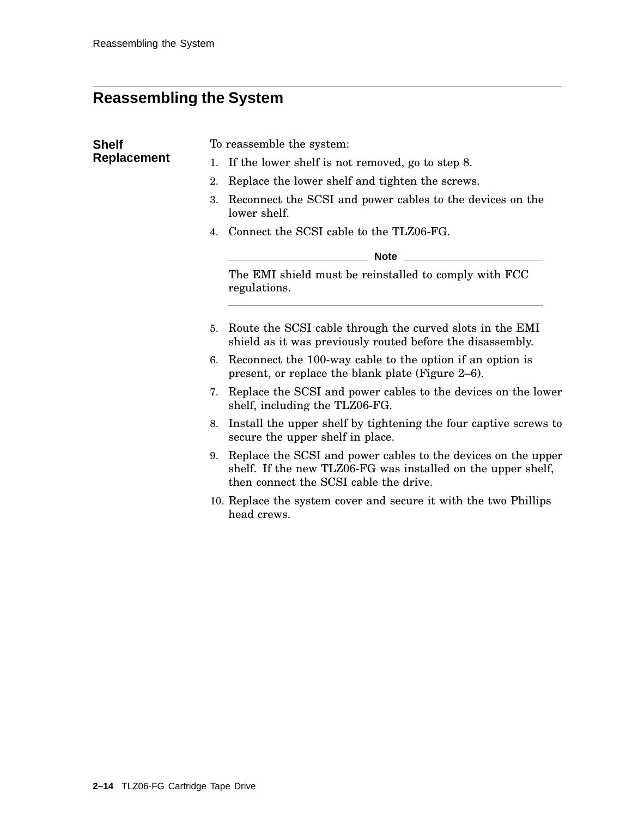## **Reassembling the System**

| <b>Shelf</b>       | To reassemble the system:                                                                                                                                                     |
|--------------------|-------------------------------------------------------------------------------------------------------------------------------------------------------------------------------|
| <b>Replacement</b> | If the lower shelf is not removed, go to step 8.<br>1.                                                                                                                        |
|                    | Replace the lower shelf and tighten the screws.<br>2.                                                                                                                         |
|                    | Reconnect the SCSI and power cables to the devices on the<br>3.<br>lower shelf.                                                                                               |
|                    | 4. Connect the SCSI cable to the TLZ06-FG.                                                                                                                                    |
|                    | _________ Note _____________                                                                                                                                                  |
|                    | The EMI shield must be reinstalled to comply with FCC<br>regulations.                                                                                                         |
|                    | Route the SCSI cable through the curved slots in the EMI<br>5.<br>shield as it was previously routed before the disassembly.                                                  |
|                    | 6. Reconnect the 100-way cable to the option if an option is<br>present, or replace the blank plate (Figure 2-6).                                                             |
|                    | Replace the SCSI and power cables to the devices on the lower<br>7.<br>shelf, including the TLZ06-FG.                                                                         |
|                    | Install the upper shelf by tightening the four captive screws to<br>8.<br>secure the upper shelf in place.                                                                    |
|                    | Replace the SCSI and power cables to the devices on the upper<br>9.<br>shelf. If the new TLZ06-FG was installed on the upper shelf,<br>then connect the SCSI cable the drive. |
|                    | 10. Replace the system cover and secure it with the two Phillips<br>head crews.                                                                                               |
|                    |                                                                                                                                                                               |
|                    |                                                                                                                                                                               |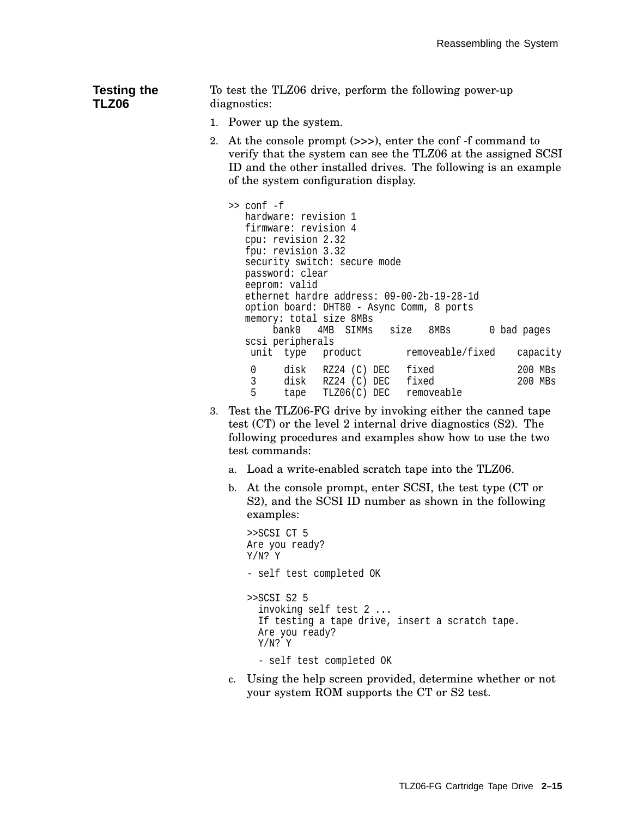#### **Testing the TLZ06** To test the TLZ06 drive, perform the following power-up diagnostics:

- 1. Power up the system.
- 2. At the console prompt (>>>), enter the conf -f command to verify that the system can see the TLZ06 at the assigned SCSI ID and the other installed drives. The following is an example of the system configuration display.

```
>> conf -f
  hardware: revision 1
  firmware: revision 4
  cpu: revision 2.32
  fpu: revision 3.32
  security switch: secure mode
  password: clear
  eeprom: valid
  ethernet hardre address: 09-00-2b-19-28-1d
  option board: DHT80 - Async Comm, 8 ports
  memory: total size 8MBs
       bank0 4MB SIMMs size 8MBs 0 bad pages
  scsi peripherals
   unit type product removeable/fixed capacity
    0 disk RZ24 (C) DEC fixed 200 MBs<br>3 disk RZ24 (C) DEC fixed 200 MBs
    3 disk RZ24 (C) DEC fixed 200 MBs<br>5 tape TLZ06(C) DEC removeable 200 MBs
          tape TLZ06(C) DEC removeable
```
- 3. Test the TLZ06-FG drive by invoking either the canned tape test (CT) or the level 2 internal drive diagnostics (S2). The following procedures and examples show how to use the two test commands:
	- a. Load a write-enabled scratch tape into the TLZ06.
	- b. At the console prompt, enter SCSI, the test type (CT or S2), and the SCSI ID number as shown in the following examples:

```
>>SCSI CT 5
Are you ready?
Y/N? Y
- self test completed OK
>>SCSI S2 5
  invoking self test 2 ...
  If testing a tape drive, insert a scratch tape.
  Are you ready?
  Y/N? Y
  - self test completed OK
```
c. Using the help screen provided, determine whether or not your system ROM supports the CT or S2 test.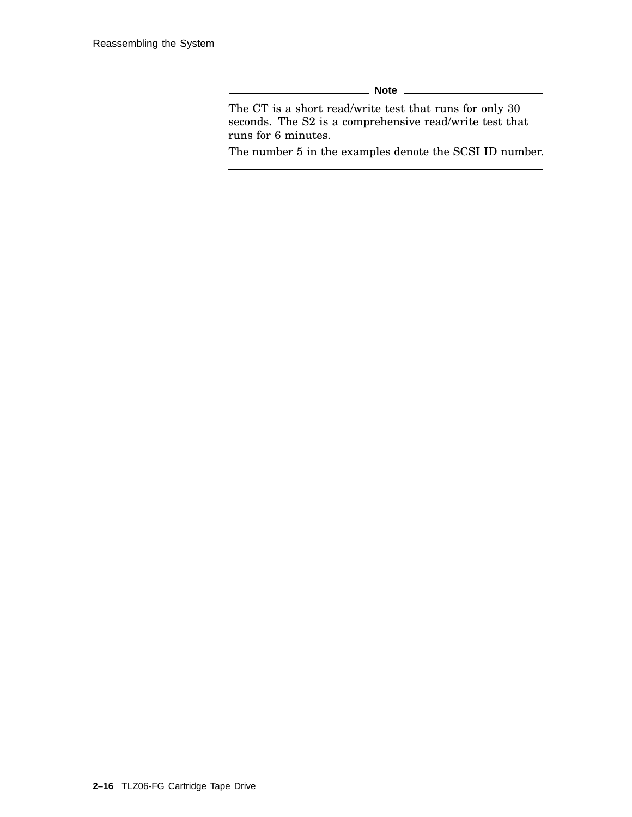**Note**

The CT is a short read/write test that runs for only 30 seconds. The S2 is a comprehensive read/write test that runs for 6 minutes.

The number 5 in the examples denote the SCSI ID number.